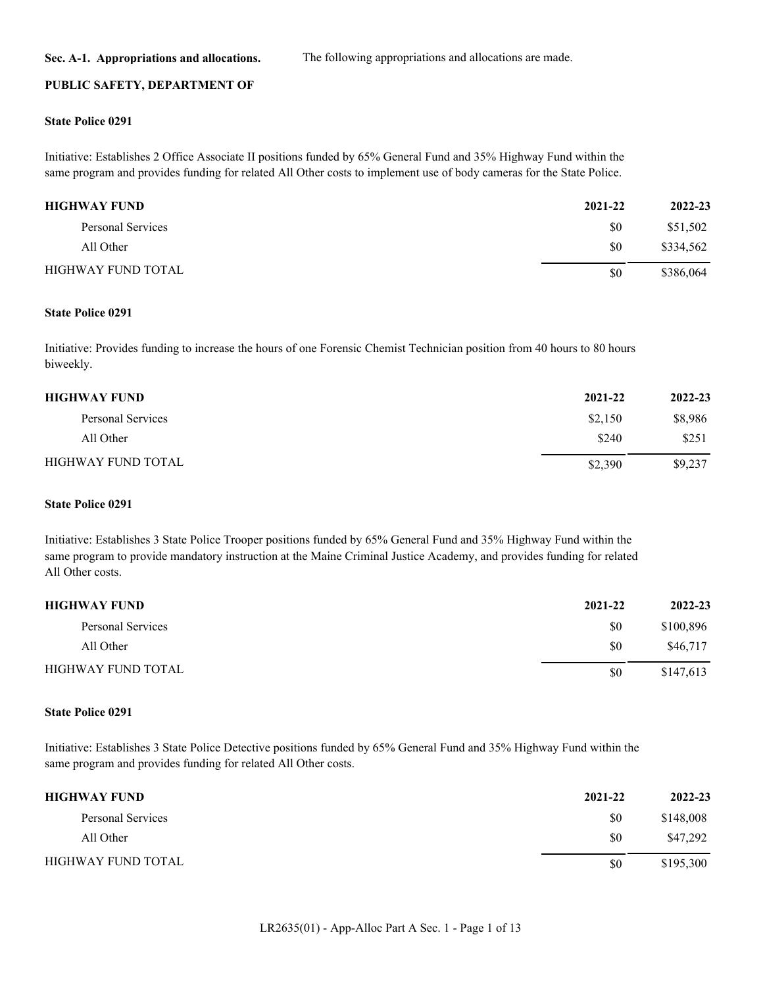**Sec. A-1. Appropriations and allocations.** The following appropriations and allocations are made.

#### **PUBLIC SAFETY, DEPARTMENT OF**

#### **State Police 0291**

Initiative: Establishes 2 Office Associate II positions funded by 65% General Fund and 35% Highway Fund within the same program and provides funding for related All Other costs to implement use of body cameras for the State Police.

| <b>HIGHWAY FUND</b>       | 2021-22 | 2022-23   |
|---------------------------|---------|-----------|
| Personal Services         | \$0     | \$51,502  |
| All Other                 | \$0     | \$334,562 |
| <b>HIGHWAY FUND TOTAL</b> | \$0     | \$386,064 |

#### **State Police 0291**

Initiative: Provides funding to increase the hours of one Forensic Chemist Technician position from 40 hours to 80 hours biweekly.

| <b>HIGHWAY FUND</b>       | 2021-22 | 2022-23 |
|---------------------------|---------|---------|
| Personal Services         | \$2,150 | \$8,986 |
| All Other                 | \$240   | \$251   |
| <b>HIGHWAY FUND TOTAL</b> | \$2,390 | \$9,237 |

#### **State Police 0291**

Initiative: Establishes 3 State Police Trooper positions funded by 65% General Fund and 35% Highway Fund within the same program to provide mandatory instruction at the Maine Criminal Justice Academy, and provides funding for related All Other costs.

| <b>HIGHWAY FUND</b>       | 2021-22 | 2022-23   |
|---------------------------|---------|-----------|
| Personal Services         | \$0     | \$100,896 |
| All Other                 | \$0     | \$46,717  |
| <b>HIGHWAY FUND TOTAL</b> | \$0     | \$147,613 |

## **State Police 0291**

Initiative: Establishes 3 State Police Detective positions funded by 65% General Fund and 35% Highway Fund within the same program and provides funding for related All Other costs.

| <b>HIGHWAY FUND</b>       | 2021-22 | 2022-23   |
|---------------------------|---------|-----------|
| Personal Services         | \$0     | \$148,008 |
| All Other                 | \$0     | \$47,292  |
| <b>HIGHWAY FUND TOTAL</b> | \$0     | \$195,300 |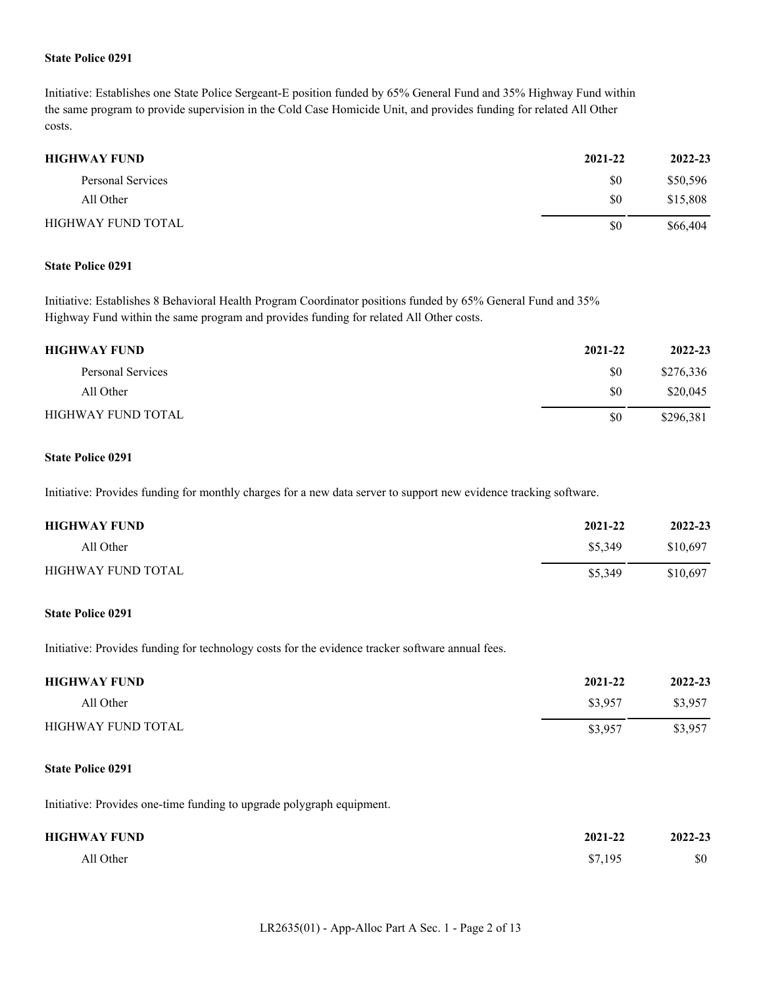## **State Police 0291**

Initiative: Establishes one State Police Sergeant-E position funded by 65% General Fund and 35% Highway Fund within the same program to provide supervision in the Cold Case Homicide Unit, and provides funding for related All Other costs.

| <b>HIGHWAY FUND</b>       | 2021-22 | 2022-23  |
|---------------------------|---------|----------|
| Personal Services         | \$0     | \$50,596 |
| All Other                 | \$0     | \$15,808 |
| <b>HIGHWAY FUND TOTAL</b> | \$0     | \$66,404 |

## **State Police 0291**

Initiative: Establishes 8 Behavioral Health Program Coordinator positions funded by 65% General Fund and 35% Highway Fund within the same program and provides funding for related All Other costs.

| <b>HIGHWAY FUND</b>       | 2021-22 | 2022-23   |
|---------------------------|---------|-----------|
| Personal Services         | \$0     | \$276,336 |
| All Other                 | \$0     | \$20,045  |
| <b>HIGHWAY FUND TOTAL</b> | \$0     | \$296,381 |

#### **State Police 0291**

Initiative: Provides funding for monthly charges for a new data server to support new evidence tracking software.

| <b>HIGHWAY FUND</b>       | 2021-22 | 2022-23  |
|---------------------------|---------|----------|
| All Other                 | \$5,349 | \$10,697 |
| <b>HIGHWAY FUND TOTAL</b> | \$5,349 | \$10.697 |

## **State Police 0291**

Initiative: Provides funding for technology costs for the evidence tracker software annual fees.

| <b>HIGHWAY FUND</b>       | 2021-22 | 2022-23 |
|---------------------------|---------|---------|
| All Other                 | \$3,957 | \$3,957 |
| <b>HIGHWAY FUND TOTAL</b> | \$3,957 | \$3,957 |

## **State Police 0291**

Initiative: Provides one-time funding to upgrade polygraph equipment.

| <b>HIGHWAY FUND</b> | 2021-22 | 2022-23 |
|---------------------|---------|---------|
| All Other           | \$7,195 | \$0     |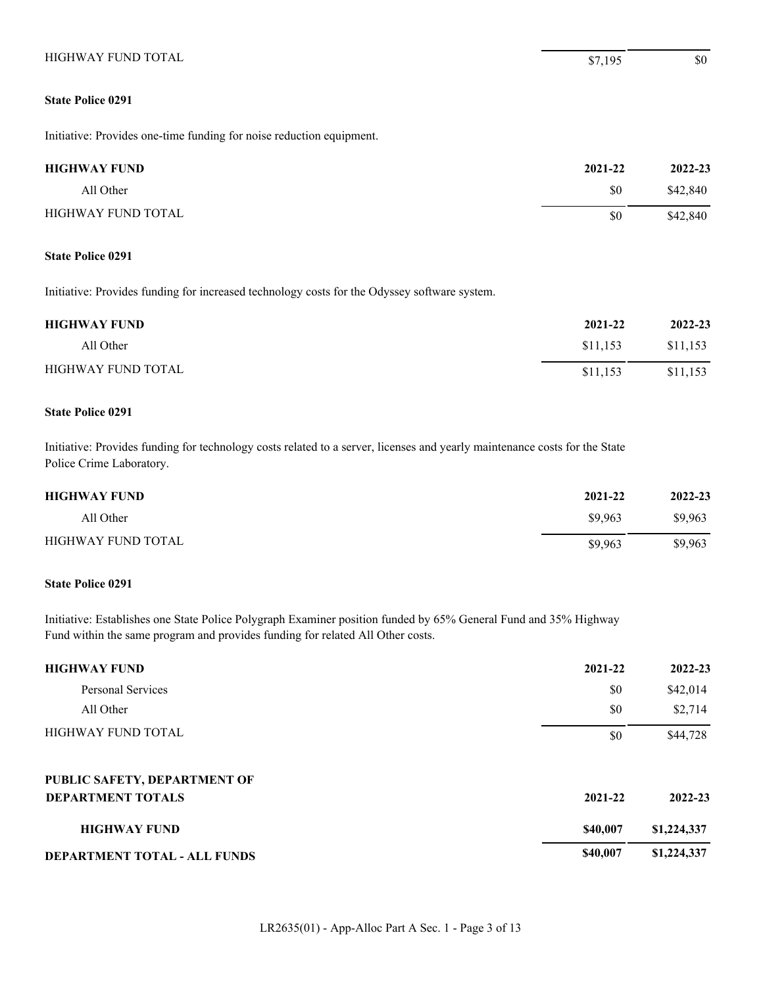# **State Police 0291**

Initiative: Provides one-time funding for noise reduction equipment.

| <b>HIGHWAY FUND</b>       | 2021-22 | 2022-23  |
|---------------------------|---------|----------|
| All Other                 | \$0     | \$42,840 |
| <b>HIGHWAY FUND TOTAL</b> | \$0     | \$42,840 |

## **State Police 0291**

Initiative: Provides funding for increased technology costs for the Odyssey software system.

| <b>HIGHWAY FUND</b>       | 2021-22  | 2022-23  |
|---------------------------|----------|----------|
| All Other                 | \$11.153 | \$11,153 |
| <b>HIGHWAY FUND TOTAL</b> | \$11.153 | \$11,153 |

## **State Police 0291**

Initiative: Provides funding for technology costs related to a server, licenses and yearly maintenance costs for the State Police Crime Laboratory.

| <b>HIGHWAY FUND</b> | 2021-22 | 2022-23 |
|---------------------|---------|---------|
| All Other           | \$9,963 | \$9,963 |
| HIGHWAY FUND TOTAL  | \$9,963 | \$9,963 |

## **State Police 0291**

Initiative: Establishes one State Police Polygraph Examiner position funded by 65% General Fund and 35% Highway Fund within the same program and provides funding for related All Other costs.

| <b>HIGHWAY FUND</b>          | 2021-22  | 2022-23     |
|------------------------------|----------|-------------|
| Personal Services            | \$0      | \$42,014    |
| All Other                    | \$0      | \$2,714     |
| <b>HIGHWAY FUND TOTAL</b>    | \$0      | \$44,728    |
| PUBLIC SAFETY, DEPARTMENT OF |          |             |
| <b>DEPARTMENT TOTALS</b>     | 2021-22  | 2022-23     |
| <b>HIGHWAY FUND</b>          | \$40,007 | \$1,224,337 |
| DEPARTMENT TOTAL - ALL FUNDS | \$40,007 | \$1,224,337 |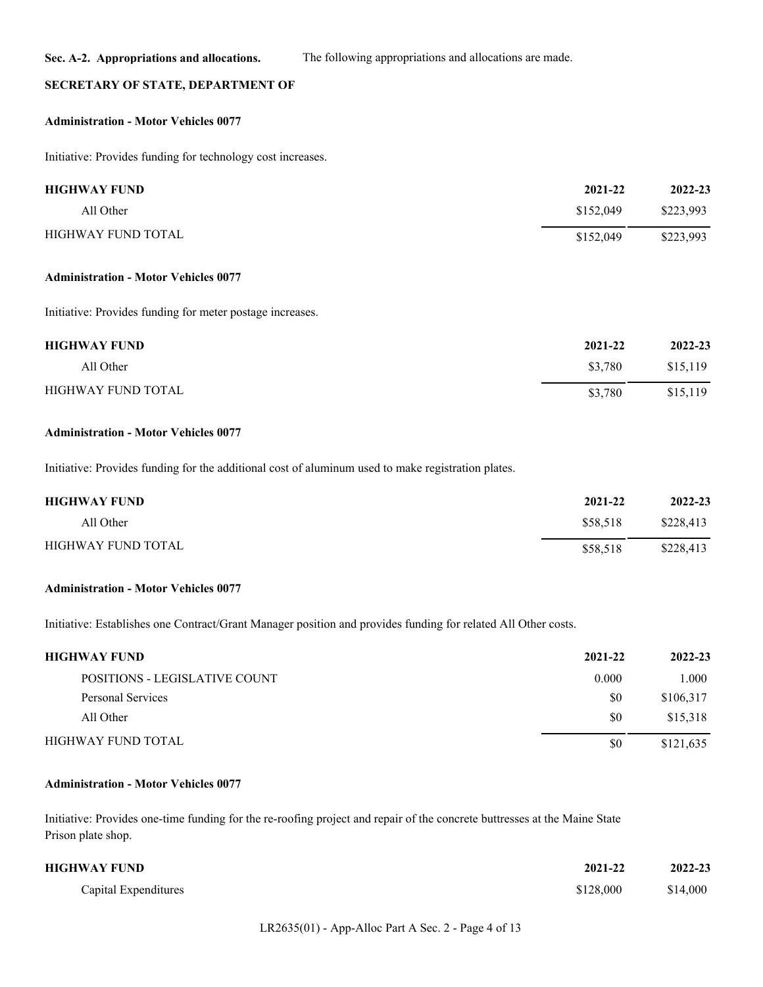## **SECRETARY OF STATE, DEPARTMENT OF**

#### **Administration - Motor Vehicles 0077**

Initiative: Provides funding for technology cost increases.

| <b>HIGHWAY FUND</b>       | 2021-22   | 2022-23   |
|---------------------------|-----------|-----------|
| All Other                 | \$152,049 | \$223,993 |
| <b>HIGHWAY FUND TOTAL</b> | \$152,049 | \$223,993 |

#### **Administration - Motor Vehicles 0077**

Initiative: Provides funding for meter postage increases.

| <b>HIGHWAY FUND</b> | 2021-22 | 2022-23  |
|---------------------|---------|----------|
| All Other           | \$3,780 | \$15,119 |
| HIGHWAY FUND TOTAL  | \$3,780 | \$15,119 |

## **Administration - Motor Vehicles 0077**

Initiative: Provides funding for the additional cost of aluminum used to make registration plates.

| <b>HIGHWAY FUND</b>       | 2021-22  | 2022-23   |
|---------------------------|----------|-----------|
| All Other                 | \$58,518 | \$228,413 |
| <b>HIGHWAY FUND TOTAL</b> | \$58.518 | \$228,413 |

## **Administration - Motor Vehicles 0077**

Initiative: Establishes one Contract/Grant Manager position and provides funding for related All Other costs.

| <b>HIGHWAY FUND</b>           | 2021-22 | 2022-23   |
|-------------------------------|---------|-----------|
| POSITIONS - LEGISLATIVE COUNT | 0.000   | 1.000     |
| Personal Services             | \$0     | \$106,317 |
| All Other                     | \$0     | \$15,318  |
| HIGHWAY FUND TOTAL            | \$0     | \$121,635 |

## **Administration - Motor Vehicles 0077**

Initiative: Provides one-time funding for the re-roofing project and repair of the concrete buttresses at the Maine State Prison plate shop.

| HIGHWAY FUND         | 2021-22   | 2022-23  |
|----------------------|-----------|----------|
| Capital Expenditures | \$128,000 | \$14,000 |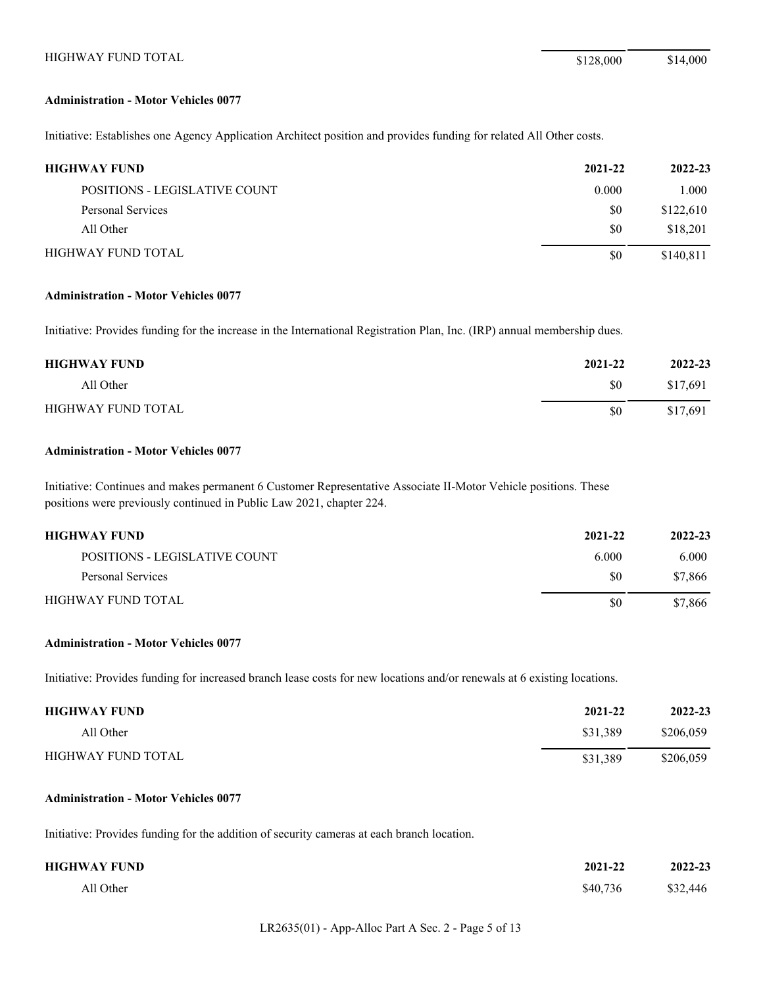#### **Administration - Motor Vehicles 0077**

Initiative: Establishes one Agency Application Architect position and provides funding for related All Other costs.

| <b>HIGHWAY FUND</b>           | 2021-22 | 2022-23   |
|-------------------------------|---------|-----------|
| POSITIONS - LEGISLATIVE COUNT | 0.000   | 1.000     |
| Personal Services             | \$0     | \$122,610 |
| All Other                     | \$0     | \$18,201  |
| <b>HIGHWAY FUND TOTAL</b>     | \$0     | \$140,811 |

## **Administration - Motor Vehicles 0077**

Initiative: Provides funding for the increase in the International Registration Plan, Inc. (IRP) annual membership dues.

| <b>HIGHWAY FUND</b> | 2021-22 | 2022-23  |
|---------------------|---------|----------|
| All Other           | \$0     | \$17,691 |
| HIGHWAY FUND TOTAL  | \$0     | \$17,691 |

## **Administration - Motor Vehicles 0077**

Initiative: Continues and makes permanent 6 Customer Representative Associate II-Motor Vehicle positions. These positions were previously continued in Public Law 2021, chapter 224.

| <b>HIGHWAY FUND</b>           | 2021-22 | 2022-23 |
|-------------------------------|---------|---------|
| POSITIONS - LEGISLATIVE COUNT | 6.000   | 6.000   |
| Personal Services             | \$0     | \$7,866 |
| HIGHWAY FUND TOTAL            | \$0     | \$7,866 |

#### **Administration - Motor Vehicles 0077**

Initiative: Provides funding for increased branch lease costs for new locations and/or renewals at 6 existing locations.

| <b>HIGHWAY FUND</b>       | 2021-22  | 2022-23   |
|---------------------------|----------|-----------|
| All Other                 | \$31.389 | \$206,059 |
| <b>HIGHWAY FUND TOTAL</b> | \$31.389 | \$206,059 |

#### **Administration - Motor Vehicles 0077**

Initiative: Provides funding for the addition of security cameras at each branch location.

| HIGHWAY FUND | 2021-22  | 2022-23  |
|--------------|----------|----------|
| All Other    | \$40,736 | \$32,446 |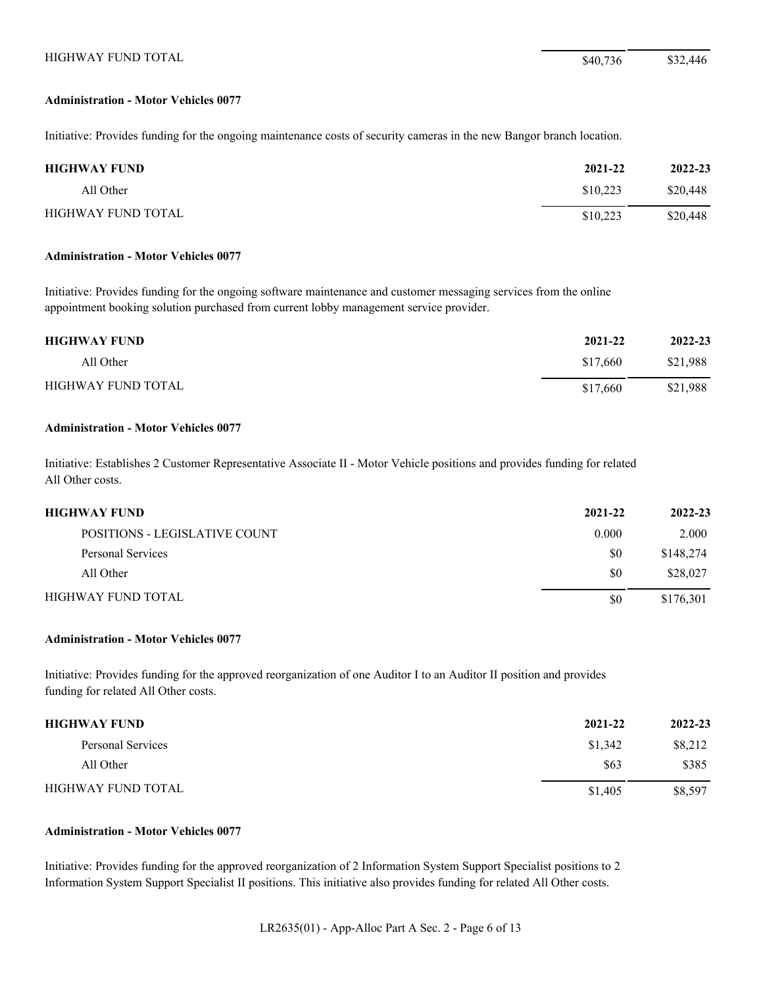#### **Administration - Motor Vehicles 0077**

Initiative: Provides funding for the ongoing maintenance costs of security cameras in the new Bangor branch location.

| <b>HIGHWAY FUND</b> | 2021-22  | 2022-23  |
|---------------------|----------|----------|
| All Other           | \$10,223 | \$20,448 |
| HIGHWAY FUND TOTAL  | \$10,223 | \$20,448 |

#### **Administration - Motor Vehicles 0077**

Initiative: Provides funding for the ongoing software maintenance and customer messaging services from the online appointment booking solution purchased from current lobby management service provider.

| <b>HIGHWAY FUND</b>       | 2021-22  | 2022-23  |
|---------------------------|----------|----------|
| All Other                 | \$17,660 | \$21.988 |
| <b>HIGHWAY FUND TOTAL</b> | \$17,660 | \$21,988 |

#### **Administration - Motor Vehicles 0077**

Initiative: Establishes 2 Customer Representative Associate II - Motor Vehicle positions and provides funding for related All Other costs.

| HIGHWAY FUND                  | 2021-22 | 2022-23   |
|-------------------------------|---------|-----------|
| POSITIONS - LEGISLATIVE COUNT | 0.000   | 2.000     |
| Personal Services             | \$0     | \$148,274 |
| All Other                     | \$0     | \$28,027  |
| HIGHWAY FUND TOTAL            | \$0     | \$176,301 |

## **Administration - Motor Vehicles 0077**

Initiative: Provides funding for the approved reorganization of one Auditor I to an Auditor II position and provides funding for related All Other costs.

| <b>HIGHWAY FUND</b> | 2021-22 | 2022-23 |
|---------------------|---------|---------|
| Personal Services   | \$1,342 | \$8,212 |
| All Other           | \$63    | \$385   |
| HIGHWAY FUND TOTAL  | \$1,405 | \$8,597 |

## **Administration - Motor Vehicles 0077**

Initiative: Provides funding for the approved reorganization of 2 Information System Support Specialist positions to 2 Information System Support Specialist II positions. This initiative also provides funding for related All Other costs.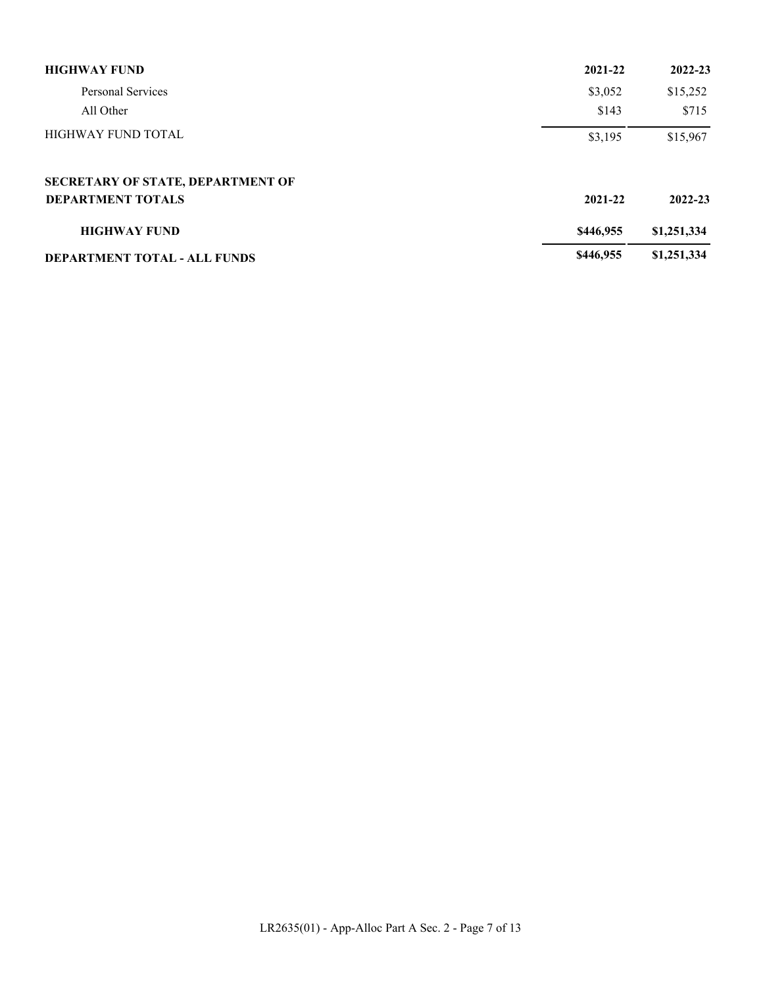| <b>HIGHWAY FUND</b>                 | 2021-22   | 2022-23     |
|-------------------------------------|-----------|-------------|
| Personal Services                   | \$3,052   | \$15,252    |
| All Other                           | \$143     | \$715       |
| <b>HIGHWAY FUND TOTAL</b>           | \$3,195   | \$15,967    |
| SECRETARY OF STATE, DEPARTMENT OF   |           |             |
| <b>DEPARTMENT TOTALS</b>            | 2021-22   | 2022-23     |
| <b>HIGHWAY FUND</b>                 | \$446,955 | \$1,251,334 |
| <b>DEPARTMENT TOTAL - ALL FUNDS</b> | \$446,955 | \$1,251,334 |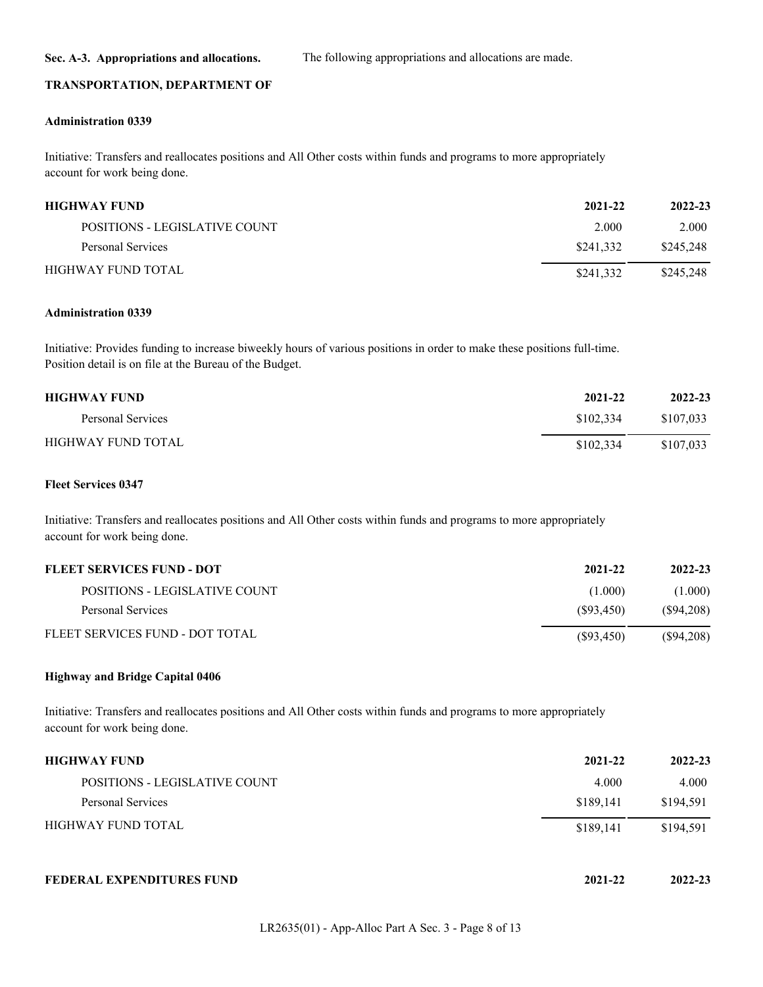**Sec. A-3. Appropriations and allocations.** The following appropriations and allocations are made.

#### **TRANSPORTATION, DEPARTMENT OF**

#### **Administration 0339**

Initiative: Transfers and reallocates positions and All Other costs within funds and programs to more appropriately account for work being done.

| <b>HIGHWAY FUND</b>           | 2021-22   | 2022-23   |
|-------------------------------|-----------|-----------|
| POSITIONS - LEGISLATIVE COUNT | 2.000     | 2.000     |
| Personal Services             | \$241,332 | \$245,248 |
| HIGHWAY FUND TOTAL            | \$241,332 | \$245,248 |

#### **Administration 0339**

Initiative: Provides funding to increase biweekly hours of various positions in order to make these positions full-time. Position detail is on file at the Bureau of the Budget.

| <b>HIGHWAY FUND</b> | 2021-22   | 2022-23   |
|---------------------|-----------|-----------|
| Personal Services   | \$102,334 | \$107,033 |
| HIGHWAY FUND TOTAL  | \$102,334 | \$107,033 |

## **Fleet Services 0347**

Initiative: Transfers and reallocates positions and All Other costs within funds and programs to more appropriately account for work being done.

| FLEET SERVICES FUND - DOT       | 2021-22    | 2022-23      |
|---------------------------------|------------|--------------|
| POSITIONS - LEGISLATIVE COUNT   | (1.000)    | (1.000)      |
| Personal Services               | (S93, 450) | (S94,208)    |
| FLEET SERVICES FUND - DOT TOTAL | (S93, 450) | $(\$94,208)$ |

#### **Highway and Bridge Capital 0406**

Initiative: Transfers and reallocates positions and All Other costs within funds and programs to more appropriately account for work being done.

| <b>HIGHWAY FUND</b>           | 2021-22   | 2022-23   |
|-------------------------------|-----------|-----------|
| POSITIONS - LEGISLATIVE COUNT | 4.000     | 4.000     |
| Personal Services             | \$189,141 | \$194,591 |
| HIGHWAY FUND TOTAL            | \$189,141 | \$194,591 |
| FEDERAL EXPENDITURES FUND     | 2021-22   | 2022-23   |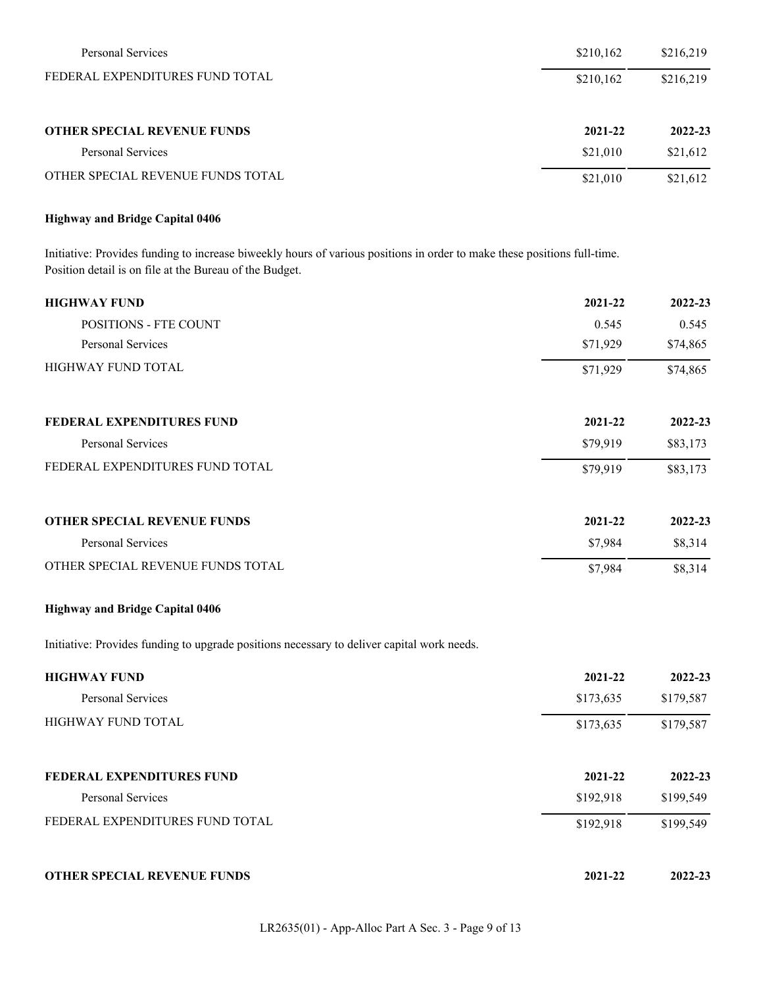| Personal Services                  | \$210,162 | \$216,219 |
|------------------------------------|-----------|-----------|
| FEDERAL EXPENDITURES FUND TOTAL    | \$210,162 | \$216,219 |
| <b>OTHER SPECIAL REVENUE FUNDS</b> | 2021-22   | 2022-23   |
| Personal Services                  | \$21,010  | \$21,612  |
| OTHER SPECIAL REVENUE FUNDS TOTAL  | \$21,010  | \$21,612  |

## **Highway and Bridge Capital 0406**

Initiative: Provides funding to increase biweekly hours of various positions in order to make these positions full-time. Position detail is on file at the Bureau of the Budget.

| <b>HIGHWAY FUND</b>                | 2021-22  | 2022-23  |
|------------------------------------|----------|----------|
| <b>POSITIONS - FTE COUNT</b>       | 0.545    | 0.545    |
| <b>Personal Services</b>           | \$71,929 | \$74,865 |
| <b>HIGHWAY FUND TOTAL</b>          | \$71,929 | \$74,865 |
| FEDERAL EXPENDITURES FUND          | 2021-22  | 2022-23  |
| <b>Personal Services</b>           | \$79,919 | \$83,173 |
| FEDERAL EXPENDITURES FUND TOTAL    | \$79,919 | \$83,173 |
| <b>OTHER SPECIAL REVENUE FUNDS</b> | 2021-22  | 2022-23  |
| Personal Services                  | \$7,984  | \$8,314  |
| OTHER SPECIAL REVENUE FUNDS TOTAL  | \$7,984  | \$8,314  |

## **Highway and Bridge Capital 0406**

Initiative: Provides funding to upgrade positions necessary to deliver capital work needs.

| <b>HIGHWAY FUND</b>                | 2021-22   | 2022-23   |
|------------------------------------|-----------|-----------|
| Personal Services                  | \$173,635 | \$179,587 |
| <b>HIGHWAY FUND TOTAL</b>          | \$173,635 | \$179,587 |
| <b>FEDERAL EXPENDITURES FUND</b>   | 2021-22   | 2022-23   |
| Personal Services                  | \$192,918 | \$199,549 |
| FEDERAL EXPENDITURES FUND TOTAL    | \$192,918 | \$199,549 |
| <b>OTHER SPECIAL REVENUE FUNDS</b> | 2021-22   | 2022-23   |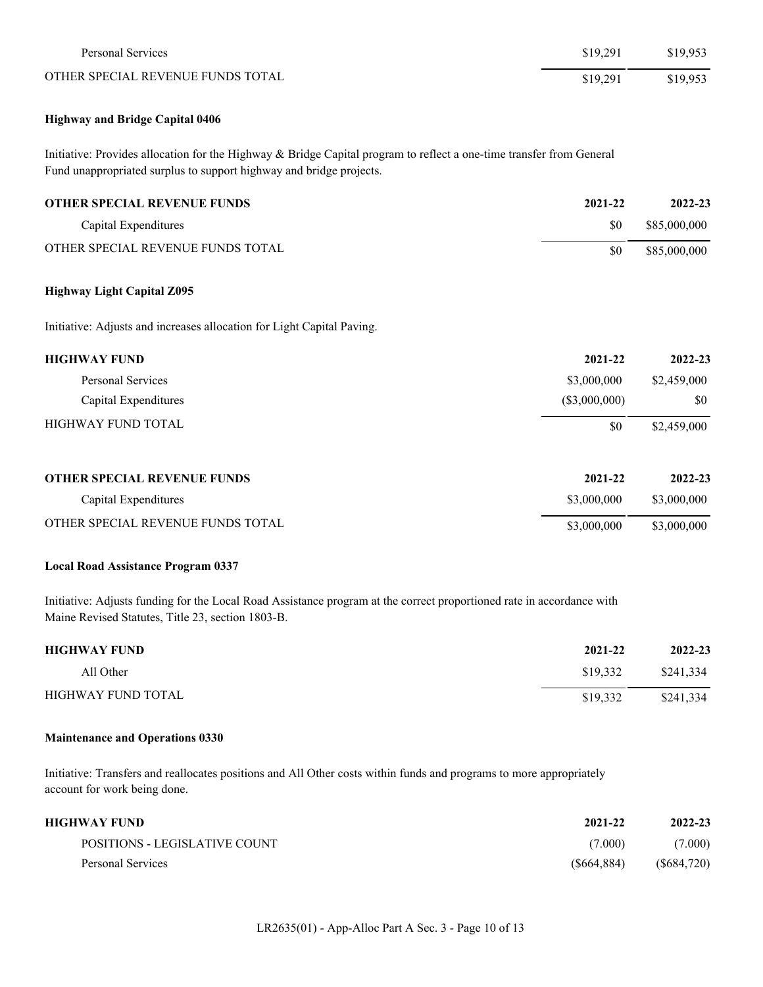| Personal Services                 | \$19.291 | \$19.953 |
|-----------------------------------|----------|----------|
| OTHER SPECIAL REVENUE FUNDS TOTAL | \$19,291 | \$19.953 |

## **Highway and Bridge Capital 0406**

Initiative: Provides allocation for the Highway & Bridge Capital program to reflect a one-time transfer from General Fund unappropriated surplus to support highway and bridge projects.

| <b>OTHER SPECIAL REVENUE FUNDS</b> | 2021-22 | 2022-23      |
|------------------------------------|---------|--------------|
| Capital Expenditures               | \$0     | \$85,000,000 |
| OTHER SPECIAL REVENUE FUNDS TOTAL  | \$0     | \$85,000,000 |

## **Highway Light Capital Z095**

Initiative: Adjusts and increases allocation for Light Capital Paving.

| <b>HIGHWAY FUND</b>       | 2021-22       | 2022-23     |
|---------------------------|---------------|-------------|
| Personal Services         | \$3,000,000   | \$2,459,000 |
| Capital Expenditures      | (\$3,000,000) | \$0         |
| <b>HIGHWAY FUND TOTAL</b> | \$0           | \$2,459,000 |
|                           |               |             |

| <b>OTHER SPECIAL REVENUE FUNDS</b> | 2021-22     | 2022-23     |
|------------------------------------|-------------|-------------|
| Capital Expenditures               | \$3,000,000 | \$3,000,000 |
| OTHER SPECIAL REVENUE FUNDS TOTAL  | \$3,000,000 | \$3,000,000 |

#### **Local Road Assistance Program 0337**

Initiative: Adjusts funding for the Local Road Assistance program at the correct proportioned rate in accordance with Maine Revised Statutes, Title 23, section 1803-B.

| <b>HIGHWAY FUND</b> | 2021-22  | 2022-23   |
|---------------------|----------|-----------|
| All Other           | \$19,332 | \$241.334 |
| HIGHWAY FUND TOTAL  | \$19,332 | \$241.334 |

## **Maintenance and Operations 0330**

Initiative: Transfers and reallocates positions and All Other costs within funds and programs to more appropriately account for work being done.

| HIGHWAY FUND                  | 2021-22     | 2022-23    |
|-------------------------------|-------------|------------|
| POSITIONS - LEGISLATIVE COUNT | (7.000)     | (7.000)    |
| Personal Services             | (S664, 884) | (S684,720) |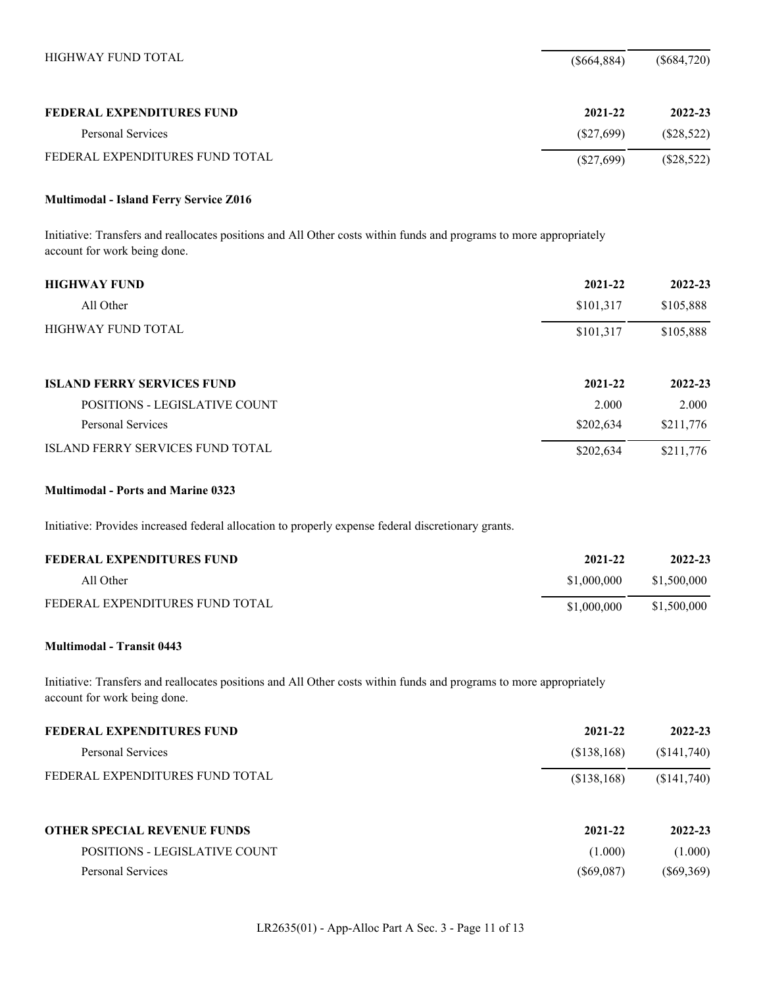| HIGHWAY FUND TOTAL              | (S664, 884)  | $(\$684,720)$ |
|---------------------------------|--------------|---------------|
| FEDERAL EXPENDITURES FUND       | 2021-22      | 2022-23       |
| Personal Services               | (S27.699)    | (\$28,522)    |
| FEDERAL EXPENDITURES FUND TOTAL | $(\$27,699)$ | $(\$28,522)$  |

## **Multimodal - Island Ferry Service Z016**

Initiative: Transfers and reallocates positions and All Other costs within funds and programs to more appropriately account for work being done.

| <b>HIGHWAY FUND</b>                     | 2021-22   | 2022-23   |
|-----------------------------------------|-----------|-----------|
| All Other                               | \$101,317 | \$105,888 |
| <b>HIGHWAY FUND TOTAL</b>               | \$101,317 | \$105,888 |
| <b>ISLAND FERRY SERVICES FUND</b>       | 2021-22   | 2022-23   |
| <b>POSITIONS - LEGISLATIVE COUNT</b>    | 2.000     | 2.000     |
| Personal Services                       | \$202,634 | \$211,776 |
| <b>ISLAND FERRY SERVICES FUND TOTAL</b> | \$202,634 | \$211,776 |

## **Multimodal - Ports and Marine 0323**

Initiative: Provides increased federal allocation to properly expense federal discretionary grants.

| FEDERAL EXPENDITURES FUND       | 2021-22     | 2022-23     |
|---------------------------------|-------------|-------------|
| All Other                       | \$1,000,000 | \$1,500,000 |
| FEDERAL EXPENDITURES FUND TOTAL | \$1,000,000 | \$1,500,000 |

## **Multimodal - Transit 0443**

Initiative: Transfers and reallocates positions and All Other costs within funds and programs to more appropriately account for work being done.

| FEDERAL EXPENDITURES FUND          | 2021-22      | 2022-23      |
|------------------------------------|--------------|--------------|
| Personal Services                  | (S138, 168)  | (\$141,740)  |
| FEDERAL EXPENDITURES FUND TOTAL    | (\$138,168)  | (\$141,740)  |
| <b>OTHER SPECIAL REVENUE FUNDS</b> | 2021-22      | 2022-23      |
| POSITIONS - LEGISLATIVE COUNT      | (1.000)      | (1.000)      |
| Personal Services                  | $(\$69,087)$ | $(\$69,369)$ |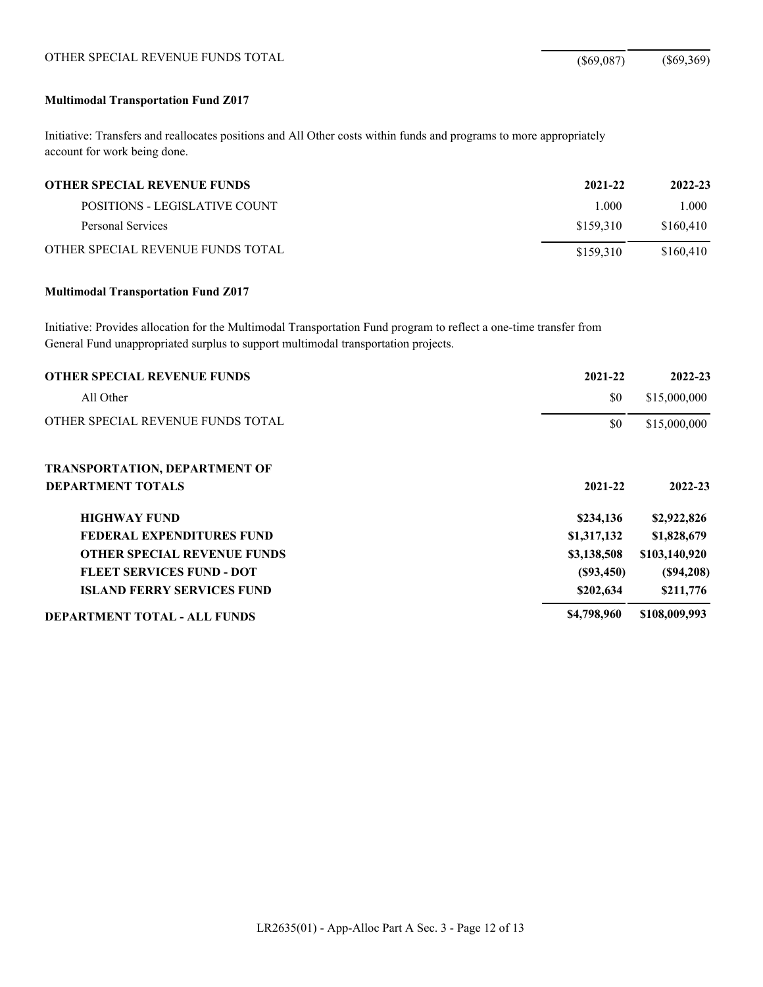# OTHER SPECIAL REVENUE FUNDS TOTAL (\$69,087) (\$69,369)

## **Multimodal Transportation Fund Z017**

Initiative: Transfers and reallocates positions and All Other costs within funds and programs to more appropriately account for work being done.

| <b>OTHER SPECIAL REVENUE FUNDS</b> | 2021-22   | 2022-23   |
|------------------------------------|-----------|-----------|
| POSITIONS - LEGISLATIVE COUNT      | 1.000     | 1.000     |
| Personal Services                  | \$159.310 | \$160.410 |
| OTHER SPECIAL REVENUE FUNDS TOTAL  | \$159.310 | \$160.410 |

#### **Multimodal Transportation Fund Z017**

Initiative: Provides allocation for the Multimodal Transportation Fund program to reflect a one-time transfer from General Fund unappropriated surplus to support multimodal transportation projects.

| <b>OTHER SPECIAL REVENUE FUNDS</b>   | 2021-22     | 2022-23       |
|--------------------------------------|-------------|---------------|
| All Other                            | \$0         | \$15,000,000  |
| OTHER SPECIAL REVENUE FUNDS TOTAL    | \$0         | \$15,000,000  |
| <b>TRANSPORTATION, DEPARTMENT OF</b> |             |               |
| <b>DEPARTMENT TOTALS</b>             | 2021-22     | 2022-23       |
| <b>HIGHWAY FUND</b>                  | \$234,136   | \$2,922,826   |
| FEDERAL EXPENDITURES FUND            | \$1,317,132 | \$1,828,679   |
| <b>OTHER SPECIAL REVENUE FUNDS</b>   | \$3,138,508 | \$103,140,920 |
| <b>FLEET SERVICES FUND - DOT</b>     | (S93, 450)  | (S94, 208)    |
| <b>ISLAND FERRY SERVICES FUND</b>    | \$202,634   | \$211,776     |
| <b>DEPARTMENT TOTAL - ALL FUNDS</b>  | \$4,798,960 | \$108,009,993 |